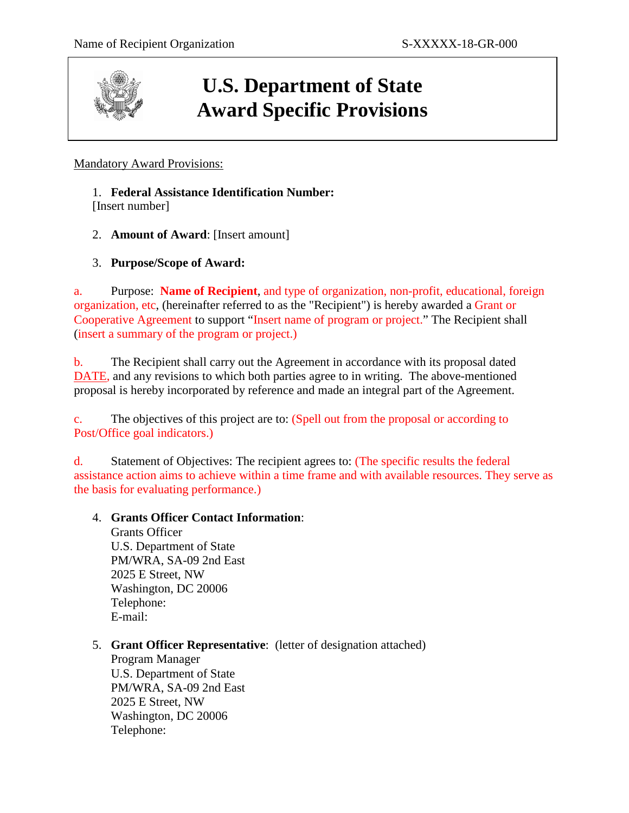

# **U.S. Department of State Award Specific Provisions**

## Mandatory Award Provisions:

## 1. **Federal Assistance Identification Number:**

[Insert number]

2. **Amount of Award**: [Insert amount]

## 3. **Purpose/Scope of Award:**

a. Purpose: **Name of Recipient**, and type of organization, non-profit, educational, foreign organization, etc, (hereinafter referred to as the "Recipient") is hereby awarded a Grant or Cooperative Agreement to support "Insert name of program or project." The Recipient shall (insert a summary of the program or project.)

b. The Recipient shall carry out the Agreement in accordance with its proposal dated DATE, and any revisions to which both parties agree to in writing. The above-mentioned proposal is hereby incorporated by reference and made an integral part of the Agreement.

c. The objectives of this project are to: (Spell out from the proposal or according to Post/Office goal indicators.)

d. Statement of Objectives: The recipient agrees to: (The specific results the federal assistance action aims to achieve within a time frame and with available resources. They serve as the basis for evaluating performance.)

## 4. **Grants Officer Contact Information**:

Grants Officer U.S. Department of State PM/WRA, SA-09 2nd East 2025 E Street, NW Washington, DC 20006 Telephone: E-mail:

5. **Grant Officer Representative**: (letter of designation attached)

Program Manager U.S. Department of State PM/WRA, SA-09 2nd East 2025 E Street, NW Washington, DC 20006 Telephone: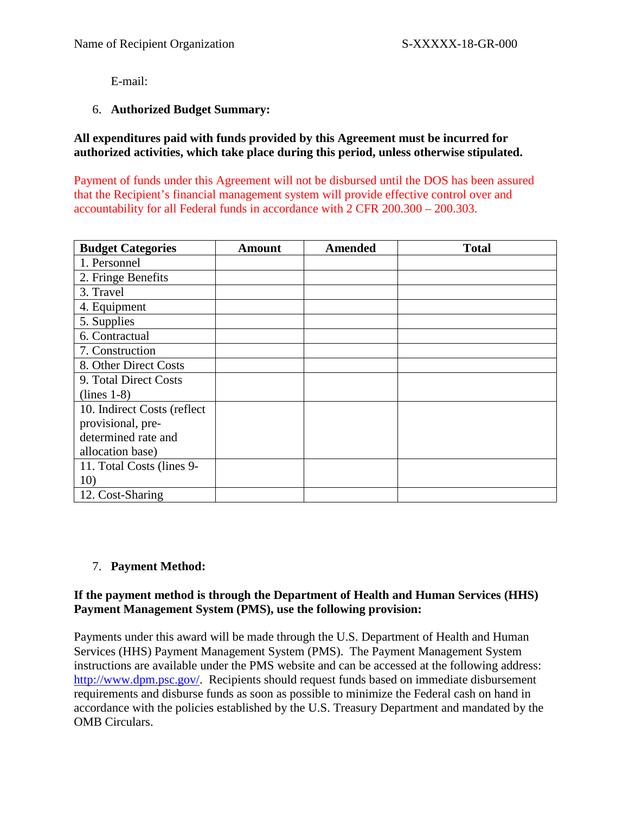E-mail:

### 6. **Authorized Budget Summary:**

**All expenditures paid with funds provided by this Agreement must be incurred for authorized activities, which take place during this period, unless otherwise stipulated.** 

Payment of funds under this Agreement will not be disbursed until the DOS has been assured that the Recipient's financial management system will provide effective control over and accountability for all Federal funds in accordance with 2 CFR 200.300 – 200.303.

| <b>Budget Categories</b>    | Amount | <b>Amended</b> | <b>Total</b> |
|-----------------------------|--------|----------------|--------------|
| 1. Personnel                |        |                |              |
| 2. Fringe Benefits          |        |                |              |
| 3. Travel                   |        |                |              |
| 4. Equipment                |        |                |              |
| 5. Supplies                 |        |                |              |
| 6. Contractual              |        |                |              |
| 7. Construction             |        |                |              |
| 8. Other Direct Costs       |        |                |              |
| 9. Total Direct Costs       |        |                |              |
| $(lines 1-8)$               |        |                |              |
| 10. Indirect Costs (reflect |        |                |              |
| provisional, pre-           |        |                |              |
| determined rate and         |        |                |              |
| allocation base)            |        |                |              |
| 11. Total Costs (lines 9-   |        |                |              |
| 10)                         |        |                |              |
| 12. Cost-Sharing            |        |                |              |

## 7. **Payment Method:**

### **If the payment method is through the Department of Health and Human Services (HHS) Payment Management System (PMS), use the following provision:**

Payments under this award will be made through the U.S. Department of Health and Human Services (HHS) Payment Management System (PMS). The Payment Management System instructions are available under the PMS website and can be accessed at the following address: [http://www.dpm.psc.gov/.](http://www.dpm.psc.gov/) Recipients should request funds based on immediate disbursement requirements and disburse funds as soon as possible to minimize the Federal cash on hand in accordance with the policies established by the U.S. Treasury Department and mandated by the OMB Circulars.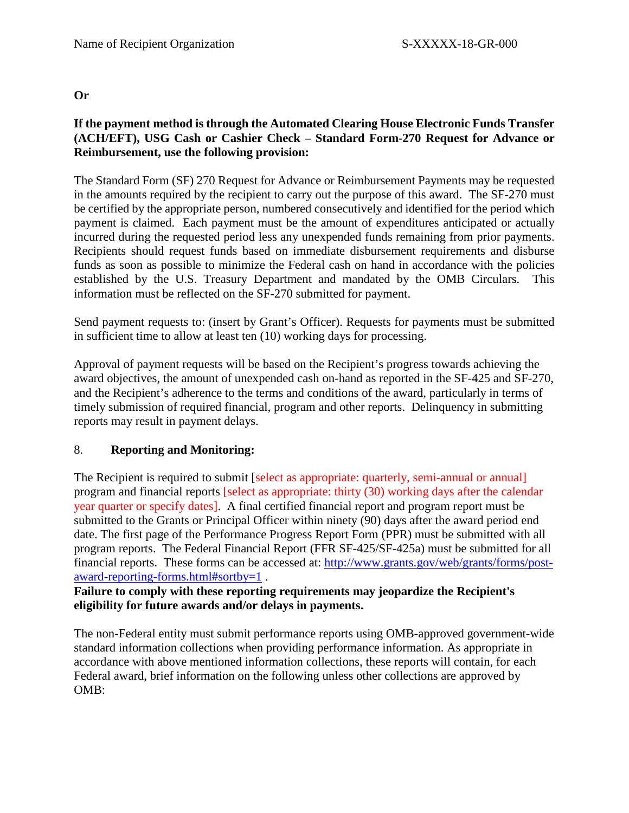## **Or**

## **If the payment method is through the Automated Clearing House Electronic Funds Transfer (ACH/EFT), USG Cash or Cashier Check – Standard Form-270 Request for Advance or Reimbursement, use the following provision:**

The Standard Form (SF) 270 Request for Advance or Reimbursement Payments may be requested in the amounts required by the recipient to carry out the purpose of this award. The SF-270 must be certified by the appropriate person, numbered consecutively and identified for the period which payment is claimed. Each payment must be the amount of expenditures anticipated or actually incurred during the requested period less any unexpended funds remaining from prior payments. Recipients should request funds based on immediate disbursement requirements and disburse funds as soon as possible to minimize the Federal cash on hand in accordance with the policies established by the U.S. Treasury Department and mandated by the OMB Circulars. This information must be reflected on the SF-270 submitted for payment.

Send payment requests to: (insert by Grant's Officer). Requests for payments must be submitted in sufficient time to allow at least ten (10) working days for processing.

Approval of payment requests will be based on the Recipient's progress towards achieving the award objectives, the amount of unexpended cash on-hand as reported in the SF-425 and SF-270, and the Recipient's adherence to the terms and conditions of the award, particularly in terms of timely submission of required financial, program and other reports. Delinquency in submitting reports may result in payment delays.

## 8. **Reporting and Monitoring:**

The Recipient is required to submit [select as appropriate: quarterly, semi-annual or annual] program and financial reports [select as appropriate: thirty (30) working days after the calendar year quarter or specify dates]. A final certified financial report and program report must be submitted to the Grants or Principal Officer within ninety (90) days after the award period end date. The first page of the Performance Progress Report Form (PPR) must be submitted with all program reports. The Federal Financial Report (FFR SF-425/SF-425a) must be submitted for all financial reports. These forms can be accessed at: [http://www.grants.gov/web/grants/forms/post](http://www.grants.gov/web/grants/forms/post-award-reporting-forms.html#sortby=1)[award-reporting-forms.html#sortby=1](http://www.grants.gov/web/grants/forms/post-award-reporting-forms.html#sortby=1) .

## **Failure to comply with these reporting requirements may jeopardize the Recipient's eligibility for future awards and/or delays in payments.**

The non-Federal entity must submit performance reports using OMB-approved government-wide standard information collections when providing performance information. As appropriate in accordance with above mentioned information collections, these reports will contain, for each Federal award, brief information on the following unless other collections are approved by OMB: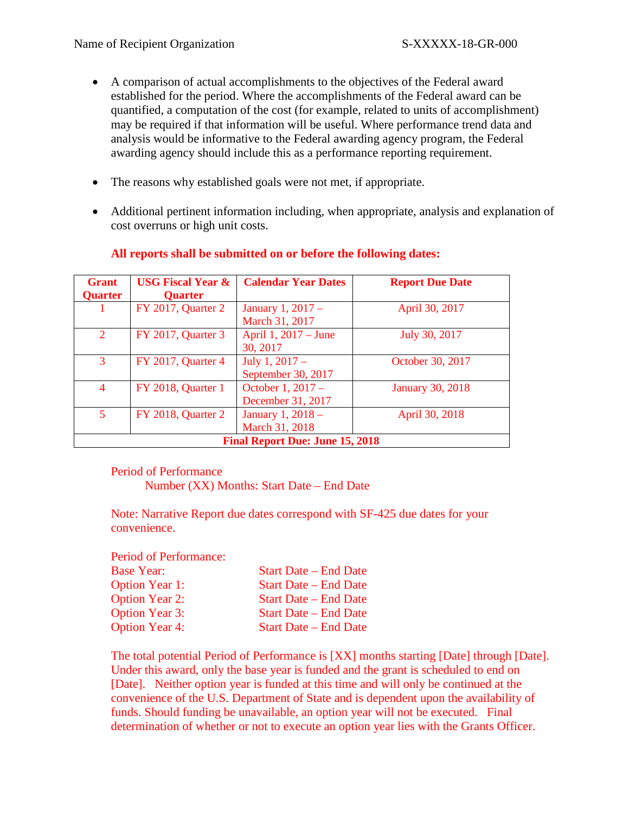- A comparison of actual accomplishments to the objectives of the Federal award established for the period. Where the accomplishments of the Federal award can be quantified, a computation of the cost (for example, related to units of accomplishment) may be required if that information will be useful. Where performance trend data and analysis would be informative to the Federal awarding agency program, the Federal awarding agency should include this as a performance reporting requirement.
- The reasons why established goals were not met, if appropriate.
- Additional pertinent information including, when appropriate, analysis and explanation of cost overruns or high unit costs.

| <b>Grant</b><br><b>Quarter</b> | <b>USG Fiscal Year &amp;</b><br><b>Quarter</b> | <b>Calendar Year Dates</b>             | <b>Report Due Date</b>  |
|--------------------------------|------------------------------------------------|----------------------------------------|-------------------------|
|                                | <b>FY 2017, Quarter 2</b>                      | January 1, 2017 -<br>March 31, 2017    | April 30, 2017          |
| $\overline{2}$                 | FY 2017, Quarter 3                             | April 1, 2017 – June<br>30, 2017       | July 30, 2017           |
| 3                              | FY 2017, Quarter 4                             | July 1, $2017 -$<br>September 30, 2017 | October 30, 2017        |
| $\overline{4}$                 | FY 2018, Quarter 1                             | October 1, 2017 -<br>December 31, 2017 | <b>January 30, 2018</b> |
| $\mathbf{5}$                   | FY 2018, Quarter 2                             | January 1, 2018 -<br>March 31, 2018    | April 30, 2018          |
|                                |                                                | <b>Final Report Due: June 15, 2018</b> |                         |

### **All reports shall be submitted on or before the following dates:**

Period of Performance

Number (XX) Months: Start Date – End Date

Note: Narrative Report due dates correspond with SF-425 due dates for your convenience.

Period of Performance:

| <b>Base Year:</b>     | <b>Start Date – End Date</b> |
|-----------------------|------------------------------|
| <b>Option Year 1:</b> | <b>Start Date – End Date</b> |
| <b>Option Year 2:</b> | <b>Start Date – End Date</b> |
| <b>Option Year 3:</b> | <b>Start Date – End Date</b> |
| <b>Option Year 4:</b> | <b>Start Date – End Date</b> |

The total potential Period of Performance is [XX] months starting [Date] through [Date]. Under this award, only the base year is funded and the grant is scheduled to end on [Date]. Neither option year is funded at this time and will only be continued at the convenience of the U.S. Department of State and is dependent upon the availability of funds. Should funding be unavailable, an option year will not be executed. Final determination of whether or not to execute an option year lies with the Grants Officer.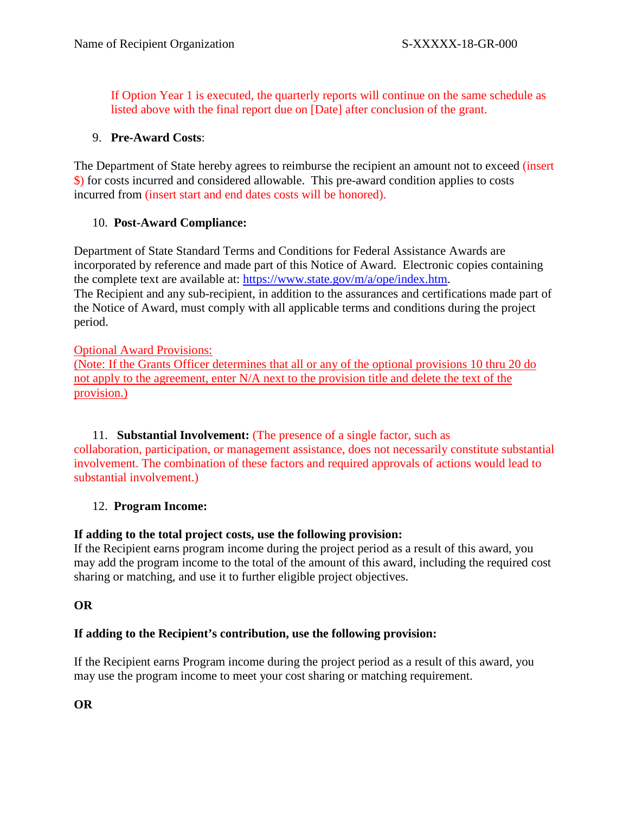If Option Year 1 is executed, the quarterly reports will continue on the same schedule as listed above with the final report due on [Date] after conclusion of the grant.

## 9. **Pre-Award Costs**:

The Department of State hereby agrees to reimburse the recipient an amount not to exceed (insert \$) for costs incurred and considered allowable. This pre-award condition applies to costs incurred from (insert start and end dates costs will be honored).

## 10. **Post-Award Compliance:**

Department of State Standard Terms and Conditions for Federal Assistance Awards are incorporated by reference and made part of this Notice of Award. Electronic copies containing the complete text are available at: [https://www.state.gov/m/a/ope/index.htm.](https://www.state.gov/m/a/ope/index.htm) The Recipient and any sub-recipient, in addition to the assurances and certifications made part of the Notice of Award, must comply with all applicable terms and conditions during the project period.

## Optional Award Provisions:

(Note: If the Grants Officer determines that all or any of the optional provisions 10 thru 20 do not apply to the agreement, enter N/A next to the provision title and delete the text of the provision.)

11. **Substantial Involvement:** (The presence of a single factor, such as collaboration, participation, or management assistance, does not necessarily constitute substantial involvement. The combination of these factors and required approvals of actions would lead to substantial involvement.)

## 12. **Program Income:**

## **If adding to the total project costs, use the following provision:**

If the Recipient earns program income during the project period as a result of this award, you may add the program income to the total of the amount of this award, including the required cost sharing or matching, and use it to further eligible project objectives.

## **OR**

## **If adding to the Recipient's contribution, use the following provision:**

If the Recipient earns Program income during the project period as a result of this award, you may use the program income to meet your cost sharing or matching requirement.

**OR**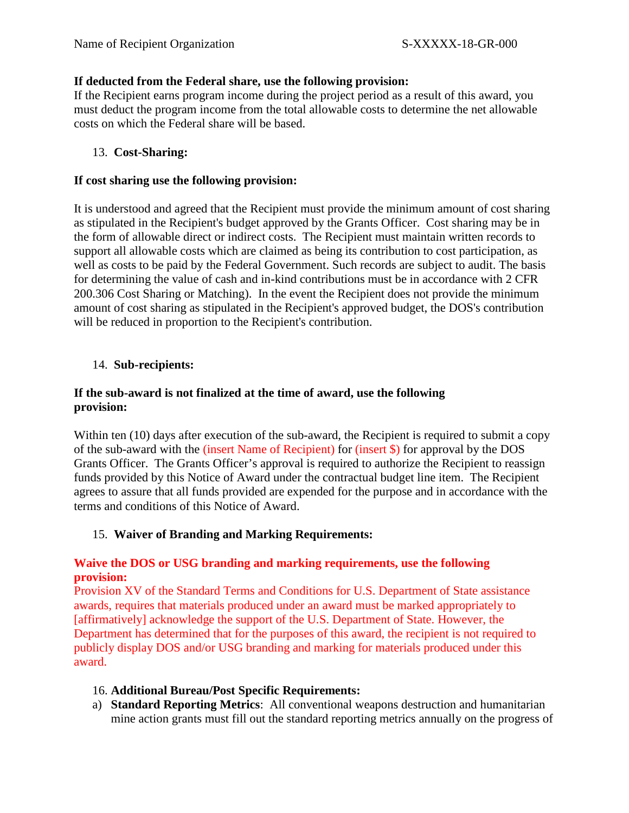### **If deducted from the Federal share, use the following provision:**

If the Recipient earns program income during the project period as a result of this award, you must deduct the program income from the total allowable costs to determine the net allowable costs on which the Federal share will be based.

## 13. **Cost-Sharing:**

#### **If cost sharing use the following provision:**

It is understood and agreed that the Recipient must provide the minimum amount of cost sharing as stipulated in the Recipient's budget approved by the Grants Officer. Cost sharing may be in the form of allowable direct or indirect costs. The Recipient must maintain written records to support all allowable costs which are claimed as being its contribution to cost participation, as well as costs to be paid by the Federal Government. Such records are subject to audit. The basis for determining the value of cash and in-kind contributions must be in accordance with 2 CFR 200.306 Cost Sharing or Matching). In the event the Recipient does not provide the minimum amount of cost sharing as stipulated in the Recipient's approved budget, the DOS's contribution will be reduced in proportion to the Recipient's contribution.

### 14. **Sub-recipients:**

## **If the sub-award is not finalized at the time of award, use the following provision:**

Within ten (10) days after execution of the sub-award, the Recipient is required to submit a copy of the sub-award with the (insert Name of Recipient) for (insert \$) for approval by the DOS Grants Officer. The Grants Officer's approval is required to authorize the Recipient to reassign funds provided by this Notice of Award under the contractual budget line item. The Recipient agrees to assure that all funds provided are expended for the purpose and in accordance with the terms and conditions of this Notice of Award.

## 15. **Waiver of Branding and Marking Requirements:**

## **Waive the DOS or USG branding and marking requirements, use the following provision:**

Provision XV of the Standard Terms and Conditions for U.S. Department of State assistance awards, requires that materials produced under an award must be marked appropriately to [affirmatively] acknowledge the support of the U.S. Department of State. However, the Department has determined that for the purposes of this award, the recipient is not required to publicly display DOS and/or USG branding and marking for materials produced under this award.

#### 16. **Additional Bureau/Post Specific Requirements:**

a) **Standard Reporting Metrics**: All conventional weapons destruction and humanitarian mine action grants must fill out the standard reporting metrics annually on the progress of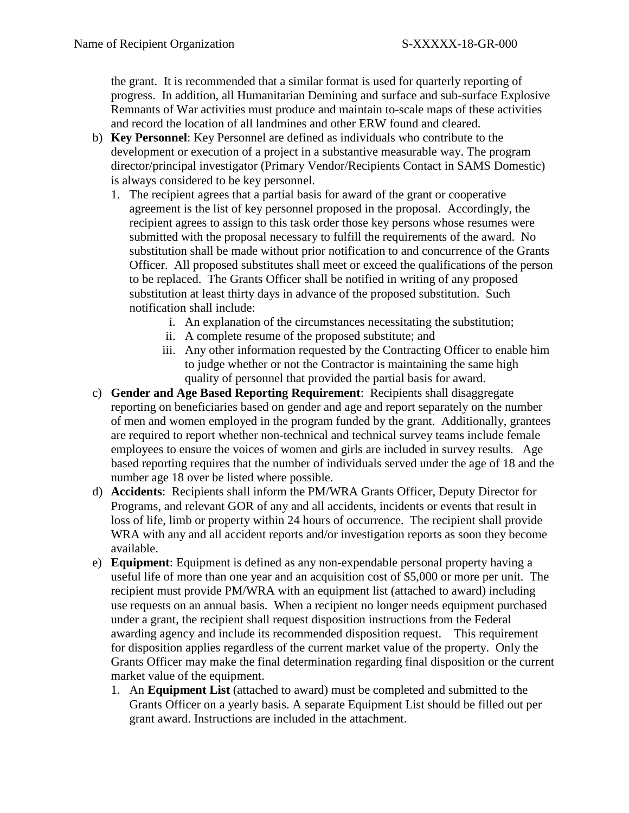the grant. It is recommended that a similar format is used for quarterly reporting of progress. In addition, all Humanitarian Demining and surface and sub-surface Explosive Remnants of War activities must produce and maintain to-scale maps of these activities and record the location of all landmines and other ERW found and cleared.

- b) **Key Personnel**: Key Personnel are defined as individuals who contribute to the development or execution of a project in a substantive measurable way. The program director/principal investigator (Primary Vendor/Recipients Contact in SAMS Domestic) is always considered to be key personnel.
	- 1. The recipient agrees that a partial basis for award of the grant or cooperative agreement is the list of key personnel proposed in the proposal. Accordingly, the recipient agrees to assign to this task order those key persons whose resumes were submitted with the proposal necessary to fulfill the requirements of the award. No substitution shall be made without prior notification to and concurrence of the Grants Officer. All proposed substitutes shall meet or exceed the qualifications of the person to be replaced. The Grants Officer shall be notified in writing of any proposed substitution at least thirty days in advance of the proposed substitution. Such notification shall include:
		- i. An explanation of the circumstances necessitating the substitution;
		- ii. A complete resume of the proposed substitute; and
		- iii. Any other information requested by the Contracting Officer to enable him to judge whether or not the Contractor is maintaining the same high quality of personnel that provided the partial basis for award.
- c) **Gender and Age Based Reporting Requirement**: Recipients shall disaggregate reporting on beneficiaries based on gender and age and report separately on the number of men and women employed in the program funded by the grant. Additionally, grantees are required to report whether non-technical and technical survey teams include female employees to ensure the voices of women and girls are included in survey results. Age based reporting requires that the number of individuals served under the age of 18 and the number age 18 over be listed where possible.
- d) **Accidents**: Recipients shall inform the PM/WRA Grants Officer, Deputy Director for Programs, and relevant GOR of any and all accidents, incidents or events that result in loss of life, limb or property within 24 hours of occurrence. The recipient shall provide WRA with any and all accident reports and/or investigation reports as soon they become available.
- e) **Equipment**: Equipment is defined as any non-expendable personal property having a useful life of more than one year and an acquisition cost of \$5,000 or more per unit. The recipient must provide PM/WRA with an equipment list (attached to award) including use requests on an annual basis. When a recipient no longer needs equipment purchased under a grant, the recipient shall request disposition instructions from the Federal awarding agency and include its recommended disposition request. This requirement for disposition applies regardless of the current market value of the property. Only the Grants Officer may make the final determination regarding final disposition or the current market value of the equipment.
	- 1. An **Equipment List** (attached to award) must be completed and submitted to the Grants Officer on a yearly basis. A separate Equipment List should be filled out per grant award. Instructions are included in the attachment.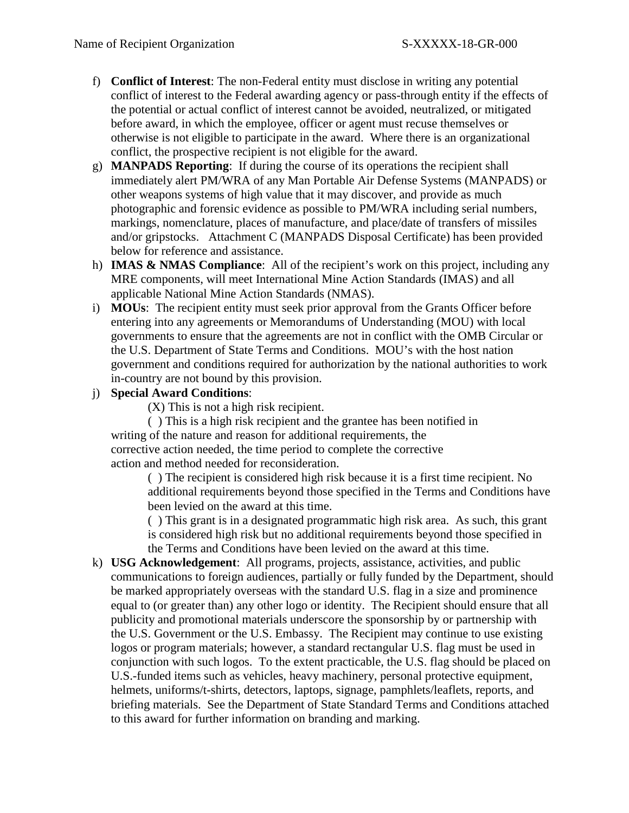- f) **Conflict of Interest**: The non-Federal entity must disclose in writing any potential conflict of interest to the Federal awarding agency or pass-through entity if the effects of the potential or actual conflict of interest cannot be avoided, neutralized, or mitigated before award, in which the employee, officer or agent must recuse themselves or otherwise is not eligible to participate in the award. Where there is an organizational conflict, the prospective recipient is not eligible for the award.
- g) **MANPADS Reporting**: If during the course of its operations the recipient shall immediately alert PM/WRA of any Man Portable Air Defense Systems (MANPADS) or other weapons systems of high value that it may discover, and provide as much photographic and forensic evidence as possible to PM/WRA including serial numbers, markings, nomenclature, places of manufacture, and place/date of transfers of missiles and/or gripstocks. Attachment C (MANPADS Disposal Certificate) has been provided below for reference and assistance.
- h) **IMAS & NMAS Compliance**: All of the recipient's work on this project, including any MRE components, will meet International Mine Action Standards (IMAS) and all applicable National Mine Action Standards (NMAS).
- i) **MOUs**: The recipient entity must seek prior approval from the Grants Officer before entering into any agreements or Memorandums of Understanding (MOU) with local governments to ensure that the agreements are not in conflict with the OMB Circular or the U.S. Department of State Terms and Conditions. MOU's with the host nation government and conditions required for authorization by the national authorities to work in-country are not bound by this provision.
- j) **Special Award Conditions**:

(X) This is not a high risk recipient.

( ) This is a high risk recipient and the grantee has been notified in writing of the nature and reason for additional requirements, the corrective action needed, the time period to complete the corrective action and method needed for reconsideration.

( ) The recipient is considered high risk because it is a first time recipient. No additional requirements beyond those specified in the Terms and Conditions have been levied on the award at this time.

( ) This grant is in a designated programmatic high risk area. As such, this grant is considered high risk but no additional requirements beyond those specified in the Terms and Conditions have been levied on the award at this time.

k) **USG Acknowledgement**: All programs, projects, assistance, activities, and public communications to foreign audiences, partially or fully funded by the Department, should be marked appropriately overseas with the standard U.S. flag in a size and prominence equal to (or greater than) any other logo or identity. The Recipient should ensure that all publicity and promotional materials underscore the sponsorship by or partnership with the U.S. Government or the U.S. Embassy. The Recipient may continue to use existing logos or program materials; however, a standard rectangular U.S. flag must be used in conjunction with such logos. To the extent practicable, the U.S. flag should be placed on U.S.-funded items such as vehicles, heavy machinery, personal protective equipment, helmets, uniforms/t-shirts, detectors, laptops, signage, pamphlets/leaflets, reports, and briefing materials. See the Department of State Standard Terms and Conditions attached to this award for further information on branding and marking.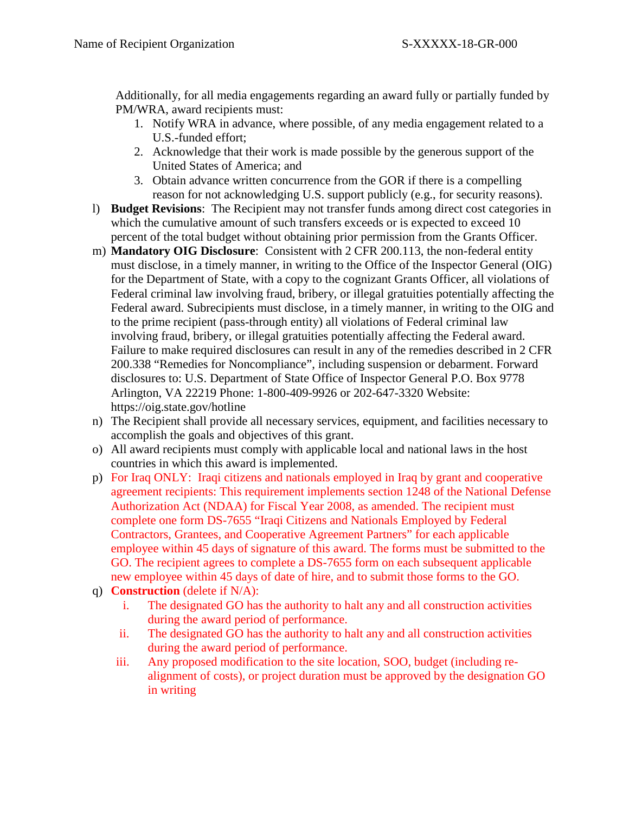Additionally, for all media engagements regarding an award fully or partially funded by PM/WRA, award recipients must:

- 1. Notify WRA in advance, where possible, of any media engagement related to a U.S.-funded effort;
- 2. Acknowledge that their work is made possible by the generous support of the United States of America; and
- 3. Obtain advance written concurrence from the GOR if there is a compelling reason for not acknowledging U.S. support publicly (e.g., for security reasons).
- l) **Budget Revisions**: The Recipient may not transfer funds among direct cost categories in which the cumulative amount of such transfers exceeds or is expected to exceed 10 percent of the total budget without obtaining prior permission from the Grants Officer.
- m) **Mandatory OIG Disclosure**: Consistent with 2 CFR 200.113, the non-federal entity must disclose, in a timely manner, in writing to the Office of the Inspector General (OIG) for the Department of State, with a copy to the cognizant Grants Officer, all violations of Federal criminal law involving fraud, bribery, or illegal gratuities potentially affecting the Federal award. Subrecipients must disclose, in a timely manner, in writing to the OIG and to the prime recipient (pass-through entity) all violations of Federal criminal law involving fraud, bribery, or illegal gratuities potentially affecting the Federal award. Failure to make required disclosures can result in any of the remedies described in 2 CFR 200.338 "Remedies for Noncompliance", including suspension or debarment. Forward disclosures to: U.S. Department of State Office of Inspector General P.O. Box 9778 Arlington, VA 22219 Phone: 1-800-409-9926 or 202-647-3320 Website: https://oig.state.gov/hotline
- n) The Recipient shall provide all necessary services, equipment, and facilities necessary to accomplish the goals and objectives of this grant.
- o) All award recipients must comply with applicable local and national laws in the host countries in which this award is implemented.
- p) For Iraq ONLY: Iraqi citizens and nationals employed in Iraq by grant and cooperative agreement recipients: This requirement implements section 1248 of the National Defense Authorization Act (NDAA) for Fiscal Year 2008, as amended. The recipient must complete one form DS-7655 "Iraqi Citizens and Nationals Employed by Federal Contractors, Grantees, and Cooperative Agreement Partners" for each applicable employee within 45 days of signature of this award. The forms must be submitted to the GO. The recipient agrees to complete a DS-7655 form on each subsequent applicable new employee within 45 days of date of hire, and to submit those forms to the GO.
- q) **Construction** (delete if N/A):
	- i. The designated GO has the authority to halt any and all construction activities during the award period of performance.
	- ii. The designated GO has the authority to halt any and all construction activities during the award period of performance.
	- iii. Any proposed modification to the site location, SOO, budget (including realignment of costs), or project duration must be approved by the designation GO in writing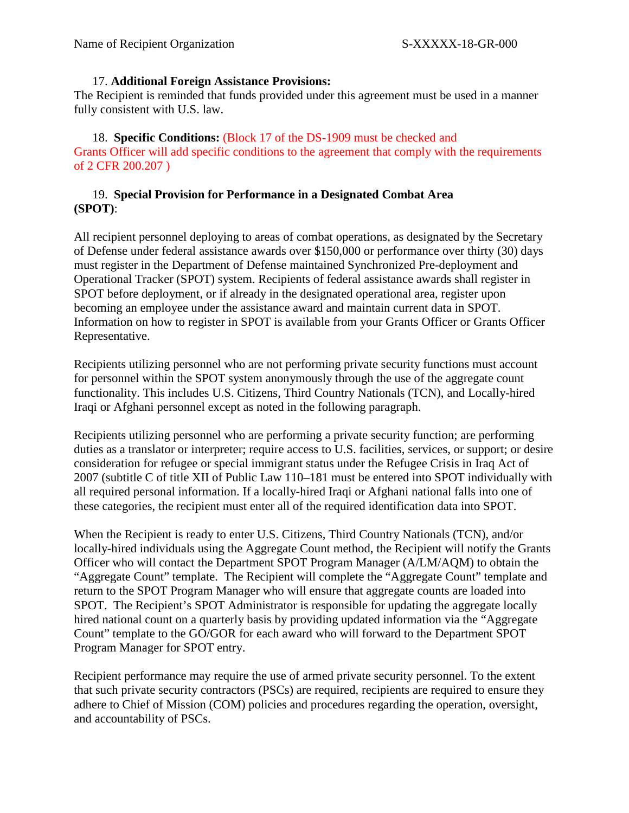### 17. **Additional Foreign Assistance Provisions:**

The Recipient is reminded that funds provided under this agreement must be used in a manner fully consistent with U.S. law.

18. **Specific Conditions:** (Block 17 of the DS-1909 must be checked and Grants Officer will add specific conditions to the agreement that comply with the requirements of 2 CFR 200.207 )

## 19. **Special Provision for Performance in a Designated Combat Area (SPOT)**:

All recipient personnel deploying to areas of combat operations, as designated by the Secretary of Defense under federal assistance awards over \$150,000 or performance over thirty (30) days must register in the Department of Defense maintained Synchronized Pre-deployment and Operational Tracker (SPOT) system. Recipients of federal assistance awards shall register in SPOT before deployment, or if already in the designated operational area, register upon becoming an employee under the assistance award and maintain current data in SPOT. Information on how to register in SPOT is available from your Grants Officer or Grants Officer Representative.

Recipients utilizing personnel who are not performing private security functions must account for personnel within the SPOT system anonymously through the use of the aggregate count functionality. This includes U.S. Citizens, Third Country Nationals (TCN), and Locally-hired Iraqi or Afghani personnel except as noted in the following paragraph.

Recipients utilizing personnel who are performing a private security function; are performing duties as a translator or interpreter; require access to U.S. facilities, services, or support; or desire consideration for refugee or special immigrant status under the Refugee Crisis in Iraq Act of 2007 (subtitle C of title XII of Public Law 110–181 must be entered into SPOT individually with all required personal information. If a locally-hired Iraqi or Afghani national falls into one of these categories, the recipient must enter all of the required identification data into SPOT.

When the Recipient is ready to enter U.S. Citizens, Third Country Nationals (TCN), and/or locally-hired individuals using the Aggregate Count method, the Recipient will notify the Grants Officer who will contact the Department SPOT Program Manager (A/LM/AQM) to obtain the "Aggregate Count" template. The Recipient will complete the "Aggregate Count" template and return to the SPOT Program Manager who will ensure that aggregate counts are loaded into SPOT. The Recipient's SPOT Administrator is responsible for updating the aggregate locally hired national count on a quarterly basis by providing updated information via the "Aggregate Count" template to the GO/GOR for each award who will forward to the Department SPOT Program Manager for SPOT entry.

Recipient performance may require the use of armed private security personnel. To the extent that such private security contractors (PSCs) are required, recipients are required to ensure they adhere to Chief of Mission (COM) policies and procedures regarding the operation, oversight, and accountability of PSCs.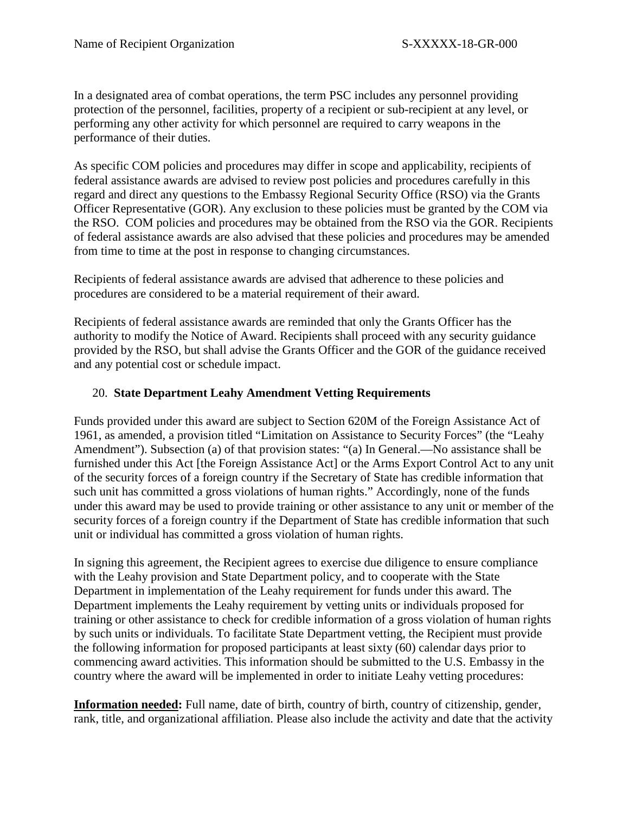In a designated area of combat operations, the term PSC includes any personnel providing protection of the personnel, facilities, property of a recipient or sub-recipient at any level, or performing any other activity for which personnel are required to carry weapons in the performance of their duties.

As specific COM policies and procedures may differ in scope and applicability, recipients of federal assistance awards are advised to review post policies and procedures carefully in this regard and direct any questions to the Embassy Regional Security Office (RSO) via the Grants Officer Representative (GOR). Any exclusion to these policies must be granted by the COM via the RSO. COM policies and procedures may be obtained from the RSO via the GOR. Recipients of federal assistance awards are also advised that these policies and procedures may be amended from time to time at the post in response to changing circumstances.

Recipients of federal assistance awards are advised that adherence to these policies and procedures are considered to be a material requirement of their award.

Recipients of federal assistance awards are reminded that only the Grants Officer has the authority to modify the Notice of Award. Recipients shall proceed with any security guidance provided by the RSO, but shall advise the Grants Officer and the GOR of the guidance received and any potential cost or schedule impact.

## 20. **State Department Leahy Amendment Vetting Requirements**

Funds provided under this award are subject to Section 620M of the Foreign Assistance Act of 1961, as amended, a provision titled "Limitation on Assistance to Security Forces" (the "Leahy Amendment"). Subsection (a) of that provision states: "(a) In General.—No assistance shall be furnished under this Act [the Foreign Assistance Act] or the Arms Export Control Act to any unit of the security forces of a foreign country if the Secretary of State has credible information that such unit has committed a gross violations of human rights." Accordingly, none of the funds under this award may be used to provide training or other assistance to any unit or member of the security forces of a foreign country if the Department of State has credible information that such unit or individual has committed a gross violation of human rights.

In signing this agreement, the Recipient agrees to exercise due diligence to ensure compliance with the Leahy provision and State Department policy, and to cooperate with the State Department in implementation of the Leahy requirement for funds under this award. The Department implements the Leahy requirement by vetting units or individuals proposed for training or other assistance to check for credible information of a gross violation of human rights by such units or individuals. To facilitate State Department vetting, the Recipient must provide the following information for proposed participants at least sixty (60) calendar days prior to commencing award activities. This information should be submitted to the U.S. Embassy in the country where the award will be implemented in order to initiate Leahy vetting procedures:

**Information needed:** Full name, date of birth, country of birth, country of citizenship, gender, rank, title, and organizational affiliation. Please also include the activity and date that the activity